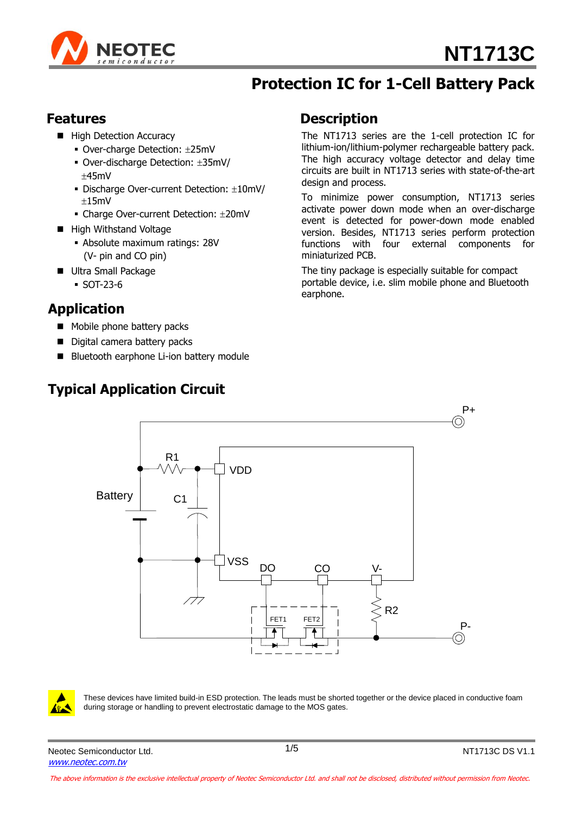

## **Protection IC for 1-Cell Battery Pack**

### **Features**

- **High Detection Accuracy** 
	- Over-charge Detection: ±25mV
	- Over-discharge Detection: 35mV/  $+45mV$
	- $\blacksquare$  Discharge Over-current Detection:  $\pm 10$ mV/  $±15mV$
	- Charge Over-current Detection: ±20mV
- High Withstand Voltage
	- Absolute maximum ratings: 28V (V- pin and CO pin)
- **Ultra Small Package** 
	- SOT-23-6

### **Application**

- Mobile phone battery packs
- Digital camera battery packs
- Bluetooth earphone Li-ion battery module

### **Typical Application Circuit**

### **Description**

The NT1713 series are the 1-cell protection IC for lithium-ion/lithium-polymer rechargeable battery pack. The high accuracy voltage detector and delay time circuits are built in NT1713 series with state-of-the-art design and process.

To minimize power consumption, NT1713 series activate power down mode when an over-discharge event is detected for power-down mode enabled version. Besides, NT1713 series perform protection functions with four external components for miniaturized PCB.

The tiny package is especially suitable for compact portable device, i.e. slim mobile phone and Bluetooth earphone.





These devices have limited build-in ESD protection. The leads must be shorted together or the device placed in conductive foam during storage or handling to prevent electrostatic damage to the MOS gates.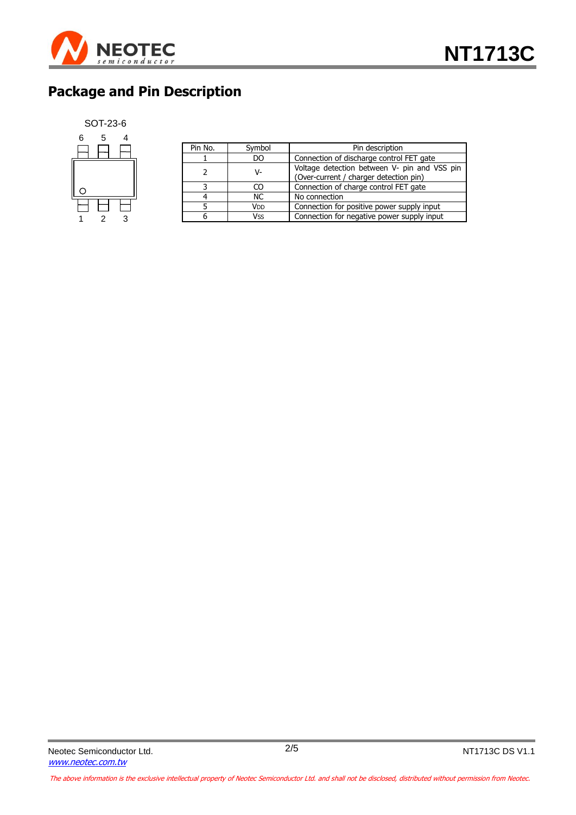

# **Package and Pin Description**

#### SOT-23-6



| Pin No. | Symbol    | Pin description                                                                        |  |  |
|---------|-----------|----------------------------------------------------------------------------------------|--|--|
|         | DO.       | Connection of discharge control FET gate                                               |  |  |
|         | V-        | Voltage detection between V- pin and VSS pin<br>(Over-current / charger detection pin) |  |  |
|         | CΩ        | Connection of charge control FET gate                                                  |  |  |
|         | <b>NC</b> | No connection                                                                          |  |  |
|         | Vdd       | Connection for positive power supply input                                             |  |  |
|         | Vss       | Connection for negative power supply input                                             |  |  |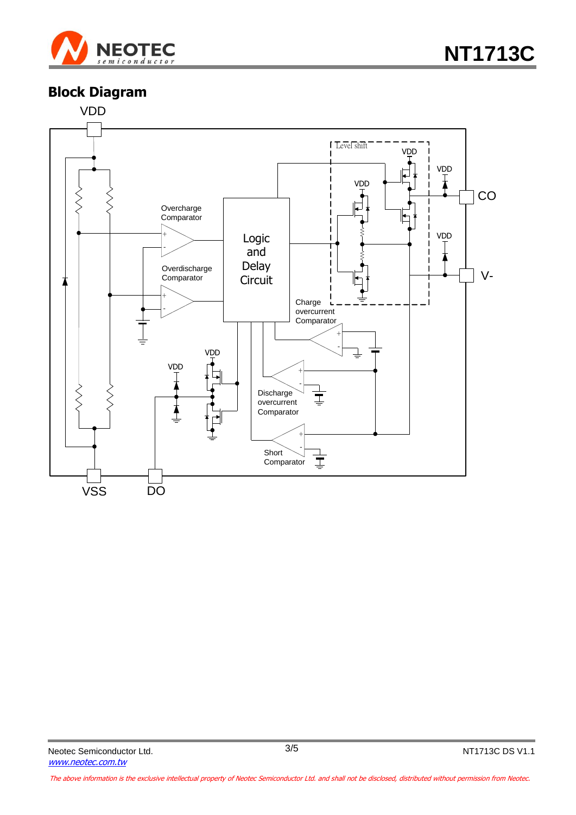

### **Block Diagram**

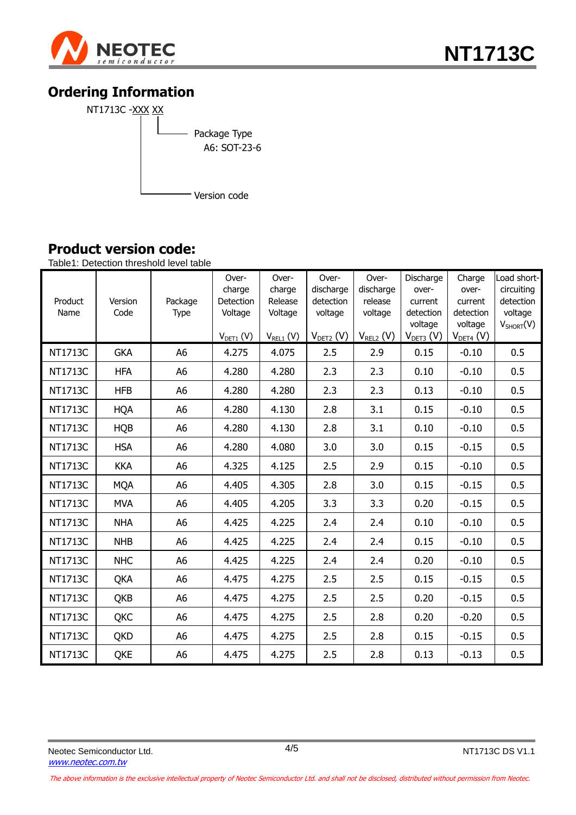

## **Ordering Information**



### **Product version code:**

Table1: Detection threshold level table

| Product<br>Name | Version<br>Code | Package<br>Type | Over-<br>charge<br>Detection<br>Voltage<br>$V_{DET1}$ (V) | Over-<br>charge<br>Release<br>Voltage<br>$V_{REL1}$ (V) | Over-<br>discharge<br>detection<br>voltage<br>$V_{DET2}$ (V) | Over-<br>discharge<br>release<br>voltage<br>$V_{REL2} (V)$ | Discharge<br>over-<br>current<br>detection<br>voltage<br>$V_{DET3} (V)$ | Charge<br>over-<br>current<br>detection<br>voltage<br>$V_{DET4} (V)$ | Load short-<br>circuiting<br>detection<br>voltage<br>$V_{SHORT}(V)$ |
|-----------------|-----------------|-----------------|-----------------------------------------------------------|---------------------------------------------------------|--------------------------------------------------------------|------------------------------------------------------------|-------------------------------------------------------------------------|----------------------------------------------------------------------|---------------------------------------------------------------------|
| NT1713C         | <b>GKA</b>      | A <sub>6</sub>  | 4.275                                                     | 4.075                                                   | 2.5                                                          | 2.9                                                        | 0.15                                                                    | $-0.10$                                                              | 0.5                                                                 |
| NT1713C         | <b>HFA</b>      | A <sub>6</sub>  | 4.280                                                     | 4.280                                                   | 2.3                                                          | 2.3                                                        | 0.10                                                                    | $-0.10$                                                              | 0.5                                                                 |
| NT1713C         | <b>HFB</b>      | A <sub>6</sub>  | 4.280                                                     | 4.280                                                   | 2.3                                                          | 2.3                                                        | 0.13                                                                    | $-0.10$                                                              | 0.5                                                                 |
| NT1713C         | <b>HQA</b>      | A <sub>6</sub>  | 4.280                                                     | 4.130                                                   | 2.8                                                          | 3.1                                                        | 0.15                                                                    | $-0.10$                                                              | 0.5                                                                 |
| NT1713C         | <b>HQB</b>      | A <sub>6</sub>  | 4.280                                                     | 4.130                                                   | 2.8                                                          | 3.1                                                        | 0.10                                                                    | $-0.10$                                                              | 0.5                                                                 |
| NT1713C         | <b>HSA</b>      | A <sub>6</sub>  | 4.280                                                     | 4.080                                                   | 3.0                                                          | 3.0                                                        | 0.15                                                                    | $-0.15$                                                              | 0.5                                                                 |
| NT1713C         | <b>KKA</b>      | A <sub>6</sub>  | 4.325                                                     | 4.125                                                   | 2.5                                                          | 2.9                                                        | 0.15                                                                    | $-0.10$                                                              | 0.5                                                                 |
| NT1713C         | <b>MQA</b>      | A <sub>6</sub>  | 4.405                                                     | 4.305                                                   | 2.8                                                          | 3.0                                                        | 0.15                                                                    | $-0.15$                                                              | 0.5                                                                 |
| NT1713C         | <b>MVA</b>      | A <sub>6</sub>  | 4.405                                                     | 4.205                                                   | 3.3                                                          | 3.3                                                        | 0.20                                                                    | $-0.15$                                                              | 0.5                                                                 |
| NT1713C         | <b>NHA</b>      | A <sub>6</sub>  | 4.425                                                     | 4.225                                                   | 2.4                                                          | 2.4                                                        | 0.10                                                                    | $-0.10$                                                              | 0.5                                                                 |
| NT1713C         | <b>NHB</b>      | A <sub>6</sub>  | 4.425                                                     | 4.225                                                   | 2.4                                                          | 2.4                                                        | 0.15                                                                    | $-0.10$                                                              | 0.5                                                                 |
| NT1713C         | <b>NHC</b>      | A <sub>6</sub>  | 4.425                                                     | 4.225                                                   | 2.4                                                          | 2.4                                                        | 0.20                                                                    | $-0.10$                                                              | 0.5                                                                 |
| NT1713C         | QKA             | A <sub>6</sub>  | 4.475                                                     | 4.275                                                   | 2.5                                                          | 2.5                                                        | 0.15                                                                    | $-0.15$                                                              | 0.5                                                                 |
| NT1713C         | QKB             | A <sub>6</sub>  | 4.475                                                     | 4.275                                                   | 2.5                                                          | 2.5                                                        | 0.20                                                                    | $-0.15$                                                              | 0.5                                                                 |
| NT1713C         | QKC             | A <sub>6</sub>  | 4.475                                                     | 4.275                                                   | 2.5                                                          | 2.8                                                        | 0.20                                                                    | $-0.20$                                                              | 0.5                                                                 |
| NT1713C         | <b>QKD</b>      | A <sub>6</sub>  | 4.475                                                     | 4.275                                                   | 2.5                                                          | 2.8                                                        | 0.15                                                                    | $-0.15$                                                              | 0.5                                                                 |
| NT1713C         | QKE             | A <sub>6</sub>  | 4.475                                                     | 4.275                                                   | 2.5                                                          | 2.8                                                        | 0.13                                                                    | $-0.13$                                                              | 0.5                                                                 |